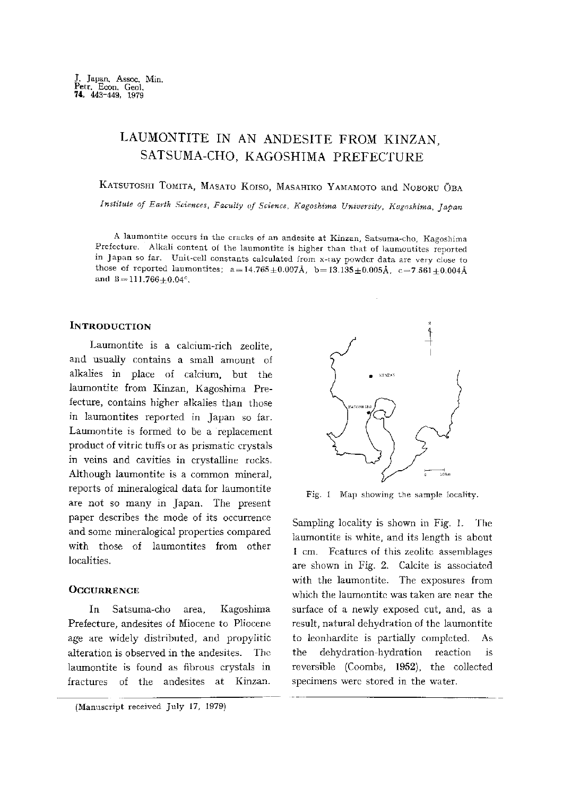# LAUMONTITE IN AN ANDESITE FROM KINZAN , SATSUMA-CHO, KAGOSHIMA PREFECTURE

KATSUTOSHI TOMITA, MASATO KOISO, MASAHIKO YAMAMOTO and NOBORU ÖBA

Institute of Earth Sciences, Faculty of Science , Kagoshima University, Kagoshima, Japan

A laumontite occurs in the cracks of an andesite at Kinzan, Satsuma-cho, Kagoshima Prefecture. Alkali content of the laumontite is higher than that of laumontites reported in Japan so far. Unit-cell constants calculated from x-iay powder data are very close to those of reported laumontites;  $a=14.765\pm0.007\text{\AA}$ ,  $b=13.135\pm0.005\text{\AA}$ ,  $c=7.561\pm0.004\text{\AA}$ and  $B=111.766+0.04^{\circ}$ .

# **INTRODUCTION**

Laumontite is a calcium-rich zeolite, and usually contains a small amount of alkalies in place of calcium, but the laumontite from Kinzan, Kagoshima Pre fecture, contains higher alkalies than those in laumontites reported in Japan so far. Laumontite is formed to be a replacement product of vitric tuffs or as prismatic crystals in veins and cavities in crystalline rocks. Although laumontite is a common mineral, reports of mineralogical data for laumontite are not so many in Japan. The present paper describes the mode of its occurrence and some mineralogical properties compared with those of laumontites from other localities.

#### **OCCURRENCE**

In Satsuma-cho area, Kagoshima Prefecture, andesites of Miocene to Pliocene age are widely distributed, and propylitic alteration is observed in the andesites. The laumontite is found as fibrous crystals in fractures of the andesites at Kinzan.



Fig. I Map showing the sample locality

 Sampling locality is shown in Fig. 1. The laumontite is white, and its length is about 1cm. Features of this zeolite assemblages are shown in Fig. 2. Calcite is associated with the laumontite. The exposures from which the laumontite was taken are near the surface of a newly exposed cut, and, as a result, natural dehydration of the laumontite to leonhardite is partially completed. As the dehydration-hydration reaction is reversible (Coombs, 1952), the collected specimens were stored in the water.

<sup>(</sup>Manuscript received July 17, 1979)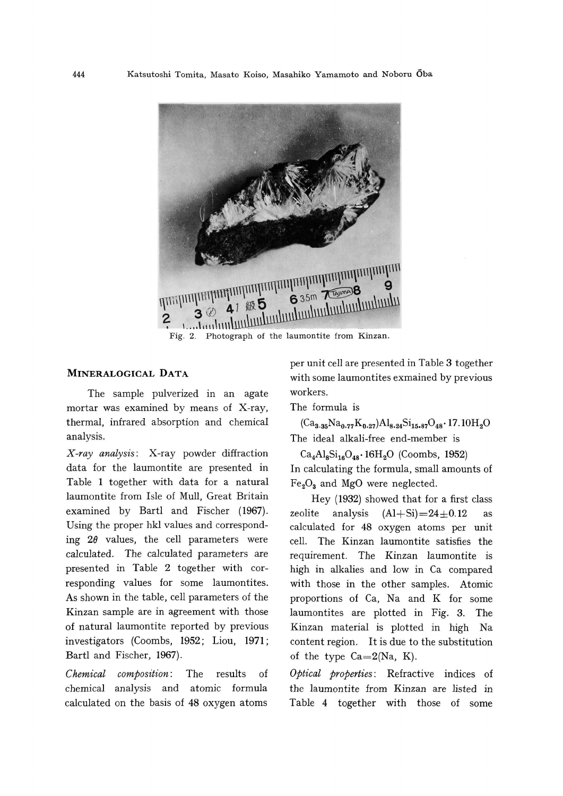

# MINERALOGICAL DATA

The sample pulverized in an agate mortar was examined by means of X-ray, thermal, infrared absorption and chemical analysis.

X-ray analysis: X-ray powder diffraction data for the laumontite are presented in Table 1 together with data for a natural laumontite from Isle of Mull, Great Britain examined by Bartl and Fischer (1967). Using the proper hkl values and correspond ing  $2\theta$  values, the cell parameters were calculated. The calculated parameters are presented in Table 2 together with cor responding values for some laumontites. As shown in the table, cell parameters of the Kinzan sample are in agreement with those of natural laumontite reported by previous investigators (Coombs, 1952; Lion, 1971; Bartl and Fischer, 1967).

Chemical composition: The results of chemical analysis and atomic formula calculated on the basis of 48 oxygen atoms  per unit cell are presented in Table 3 together with some laumontites exmained by previous workers.

The formula is

 $(Ca_{3.35}Na_{0.77}K_{0.27})Al_{8.24}Si_{15.87}O_{48}\cdot17.10H_2O$ The ideal alkali-free end-member is

 $Ca<sub>4</sub>Al<sub>8</sub>Si<sub>16</sub>O<sub>48</sub>·16H<sub>2</sub>O$  (Coombs, 1952) In calculating the formula, small amounts of  $Fe<sub>2</sub>O<sub>3</sub>$  and MgO were neglected.

Hey (1932) showed that for a first class zeolite analysis  $(A1+Si)=24\pm0.12$  as calculated for 48 oxygen atoms per unit cell. The Kinzan laumontite satisfies the requirement. The Kinzan laumontite is high in alkalies and low in Ca compared with those in the other samples. Atomic proportions of Ca, Na and K for some laumontites are plotted in Fig. 3. The Kinzan material is plotted in high Na content region. It is due to the substitution of the type  $Ca=2(Na, K)$ .

Optical properties: Refractive indices of the laumontite from Kinzan are listed in Table 4 together with those of some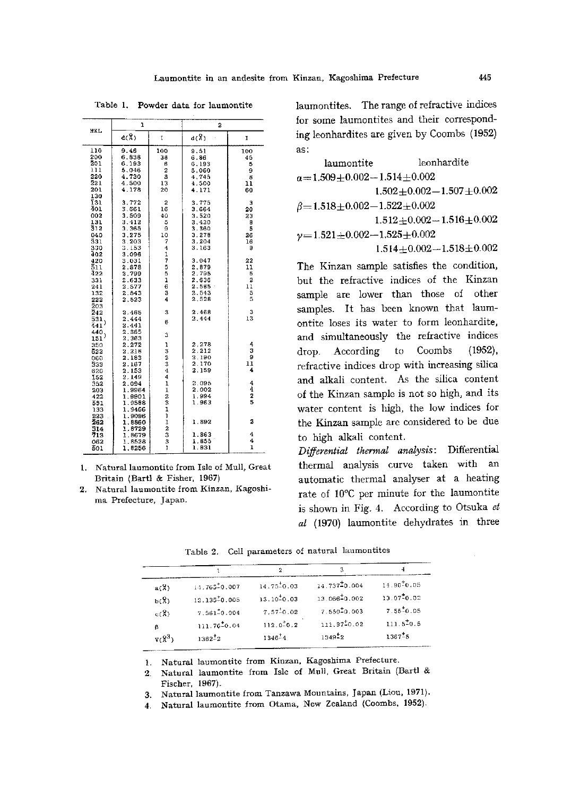| HKL.                                                                | ı                                                                    |                                                   | $\overline{2}$                                                       |                                             |  |  |
|---------------------------------------------------------------------|----------------------------------------------------------------------|---------------------------------------------------|----------------------------------------------------------------------|---------------------------------------------|--|--|
|                                                                     | d(8)                                                                 | $\mathbf{I}$                                      | $d(\mathbb{R})$                                                      | I                                           |  |  |
| 110<br>200<br>201<br>111<br>220<br>221<br>201                       | 9.46<br>6.838<br>6.193<br>5.046<br>4.730<br>4.500<br>4.178           | 100<br>38<br>6<br>$\overline{2}$<br>8<br>13<br>20 | 9.51<br>6.86<br>6.193<br>5.060<br>4.745<br>4.500<br>4.171            | 100<br>45<br>5<br>9<br>8<br>11<br>60        |  |  |
| 130<br>ī31<br>401<br>002<br>131<br>312<br>040<br>331<br>330         | 3.772<br>3.661<br>3.509<br>3.412<br>3.365<br>3.275<br>3.203<br>3.153 | 2<br>16<br>40<br>5<br>9<br>10<br>7<br>4           | 3.775<br>3.664<br>3.520<br>3.420<br>3.360<br>3.278<br>3.204<br>3.163 | э<br>20<br>23<br>8<br>5<br>26<br>16<br>9    |  |  |
| 402<br>420<br>511<br>422<br>331<br>241<br>132<br>222<br>$\bar{2}03$ | 3.096<br>3.031<br>2.878<br>2.799<br>2.633<br>2.577<br>2.543<br>2.523 | $\frac{1}{7}$<br>5<br>5<br>ı<br>6<br>ä<br>4       | 3.047<br>2.879<br>2.795<br>2.636<br>2.585<br>2.543<br>2.528          | 22<br>11<br>5<br>2<br>11<br>5<br>5          |  |  |
| 242<br>531<br>441<br>440                                            | 2.465<br>2.444<br>2.441<br>2.365                                     | 3<br>6                                            | 2,468<br>2.444                                                       | 3<br>13                                     |  |  |
| $\mathbf{151}^{)}$<br>350<br>622<br>060<br>533<br>620               | 2.363<br>2.272<br>2.218<br>2.183<br>2.167<br>2.153                   | 3<br>ı<br>3<br>$\frac{2}{3}$<br>4                 | 2.278<br>2.212<br>2.190<br>2.170<br>2.159                            | 4<br>3<br>ð<br>$\overline{\mathbf{1}}$<br>4 |  |  |
| <b>IS2</b><br>352<br>203<br>422<br>551<br>133                       | 2.149<br>2.094<br>1.9964<br>1.9901<br>1.9588<br>1.9466<br>1.9096     | I<br>į<br>231112331                               | 2.095<br>2.002<br>1.994<br>1.963                                     | $\frac{4}{4}$<br>2<br>5                     |  |  |
| 223<br>262<br>314                                                   | 1.8860<br>1,8729                                                     |                                                   | 1.892                                                                | 2                                           |  |  |
| 713<br>062<br>801                                                   | 1.8679<br>1,8538<br>1.8256                                           |                                                   | 1.863<br>1.855<br>1.831                                              | 4<br>4<br>ı                                 |  |  |

Table 1. Powder data for laumontite

1. Natural laumontite from Isle of Mull, Great Britain (Bartl & Fisher, 1967)

2. Natural laumontite from Kinzan, Kagoshi ma Prefecture, Japan.

laumontites. The range of refractive indices for some laumontites and their correspond ing leonhardites are given by Coombs (1952) as:

| laumontite                                  | leonhardite                     |
|---------------------------------------------|---------------------------------|
| $a=1.509+0.002-1.514+0.002$                 |                                 |
|                                             | $1.502 + 0.002 - 1.507 + 0.002$ |
| $\beta = 1.518 \pm 0.002 - 1.522 \pm 0.002$ |                                 |
|                                             | $1.512 + 0.002 - 1.516 + 0.002$ |
| $y=1.521\pm0.002-1.525\pm0.002$             |                                 |
|                                             | $1.514 + 0.002 - 1.518 + 0.002$ |

The Kinzan sample satisfies the condition, but the refractive indices of the Kinzan sample are lower than those of other samples. It has been known that laum ontite loses its water to form leonhardite, and simultaneously the refractive indices drop. According to Coombs (1952), refractive indices drop with increasing silica and alkali content. As the silica content of the Kinzan sample is not so high, and its water content is high, the low indices for the Kinzan sample are considered to be due to high alkali content.

Differential thermal analysis: Differential thermal analysis curve taken with an automatic thermal analyser at a heating rate of 10•Ž per minute for the laumontite is shown in Fig. 4. According to Otsuka et al (1970) laumontite dehydrates in three

Table 2. Cell parameters of natural laumontites

| a(X)         | 14.765-0.007       | $14.75 \pm 0.03$   | 14.737-0.004              | $14.90 \pm 0.05$  |
|--------------|--------------------|--------------------|---------------------------|-------------------|
| $b(\lambda)$ | $13.135 \n 50.005$ | $13.10 \pm 0.03$   | $13.066 \frac{1}{2}0.002$ | 13.07-0.02        |
| c(2)         | $7.561 - 0.004$    | $7.57^{4}_{-0.02}$ | $7.550 \pm 0.003$         | $7.55 \cdot 0.05$ |
| 6            | $111.76 - 0.04$    | $112.0 - 0.2$      | $111.97^{+0.02}$          | 111.5:0.5         |
| $V(S^3)$     | $1362^{+2}$        | $1346 - 4$         | 1549-2                    | $1367 - 5$        |
|              |                    |                    |                           |                   |

1. Natural laumontite from Kinzan, Kagoshima Prefecture.

2. Natural laumontite from Isle of Mull, Great Britain (Bartl & Fischer, 1967).

3. Natural laumontite from Tanzawa Mountains, Japan (Liou, 1971).

4. Natural laumontite from Otama, New Zealand (Coombs, 1952).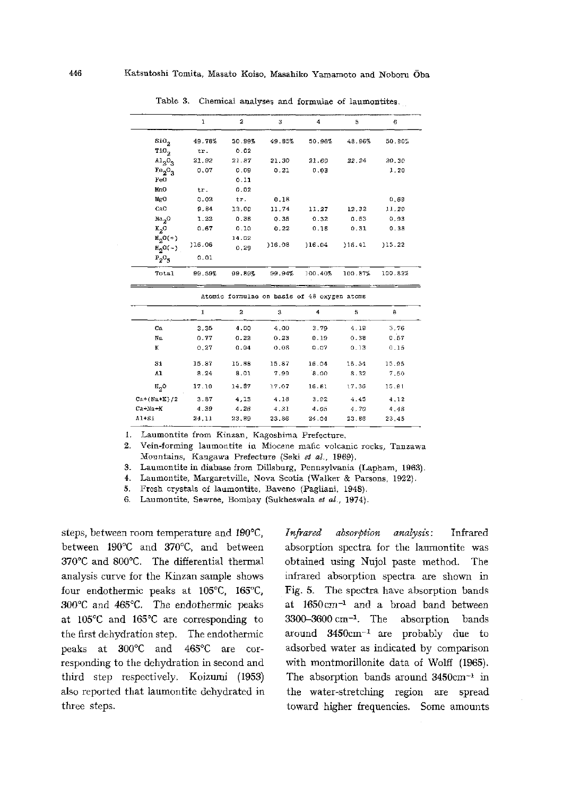|                        | ı      | 2             | 2      | 4       | 5       | 6       |
|------------------------|--------|---------------|--------|---------|---------|---------|
| $\mathrm{SiO}_2$       | 49.78% | 50.99%        | 49.85% | 50.96%  | 48.96%  | 50.90%  |
| $\verb"rio"_2$         | tr.    | 0.02          |        |         |         |         |
| $A12O_3$               | 21.92  | 21.87         | 21.30  | 21.60   | 22.24   | 20.30   |
| $Te_2O_3$              | 0.07   | 0.09          | 0.21   | 0.03    |         | 1.20    |
| FeO                    |        | 0.11          |        |         |         |         |
| MnO                    | tr.    | 0.02          |        |         |         |         |
| MgO                    | 0.02   | tr.           | 0.18   |         |         | 0.69    |
| CaO                    | 9.84   | 12,00         | 11.74  | 11.27   | 12.32   | 11.20   |
| Na <sub>2</sub> O      | 1.22   | 0.38          | 0.36   | 0.32    | 0.63    | 0.93    |
| $K_2O$                 | 0.67   | 0.10          | 0.22   | 0.18    | 0.31    | 0.38    |
| $H_0O(+)$<br>$H_0O(-)$ | 116.06 | 14.02<br>0.29 | 16,08  | 16.04   | 18.41   | )15.22  |
| $P_2O_5$               | 0.01   |               |        |         |         |         |
| Total                  | 99.59% | 99.89%        | 99.94% | 100.40% | 100.87% | 100.82% |

Table 3. Chemical analyses and formulae of laumontites .

|               |       | Atomic formulae on basis of 48 oxygen atoms |       |       |       |       |
|---------------|-------|---------------------------------------------|-------|-------|-------|-------|
|               | 1     | 2                                           | 3     | 4     | 5     | 6     |
| Ca.           | 3.35  | 4.00                                        | 4.00  | 3.79  | 4.19  | 3.76  |
| Na.           | 0.77  | 0.22                                        | 0.23  | 0.19  | 0.38  | 0.57  |
| к             | 0.27  | 0.04                                        | 0.08  | 0.07  | 0.13  | 0.15  |
| 51            | 15.87 | 15.88                                       | 15.87 | 16.04 | 15.54 | 15.95 |
| 41            | 8.24  | 8.01                                        | 7.99  | 8.00  | 8.32  | 7.50  |
| н,о           | 17.10 | 14.87                                       | 17.07 | 16.81 | 17.36 | 15.91 |
| $Ca+(Na+K)/2$ | 3.87  | 4.13                                        | 4.16  | 3.92  | 4.45  | 4.12  |
| $Ca+Na+K$     | 4.39  | 4.26                                        | 4.31  | 4.05  | 4.70  | 4.48  |
| $A1+81$       | 24,11 | 23.89                                       | 23.86 | 24.04 | 23.86 | 23.45 |

1. Laumontite from Kinzan, Kagoshima Prefecture.

2. Vein-forming laumontite in Miocene mafic volcanic rocks, Tanzawa Mountains, Kangawa Prefecture (Seki et al., 1969).

3. Laumontite in diabase from Dillsburg, Pennsylvania (Lapham, 1963).

4. Laumontite, Margaretville, Nova Scotia (Walker & Parsons, 1922).

5. Fresh crystals of laumontite, Baveno (Pagliani, 1948).

6. Laumontite, Sewree, Bombay (Sukheswala et al., 1974).

steps, between room temperature and 190°C, between 190°C and 370°C, and between 370•Ž and 800•Ž. The differential thermal analysis curve for the Kinzan sample shows four endothermic peaks at 105°C, 165°C, 300℃ and 465℃. The endothermic peaks at 105°C and 165°C are corresponding to the first dehydration step. The endothermic peaks at 300•Ž and 465•Ž are cor responding to the dehydration in second and third step respectively. Koizumi (1953) also reported that laumontite dehydrated in three steps.

Infrared absorption analysis: Infrared absorption spectra for the laumontite was obtained using Nujol paste method. The infrared absorption spectra are shown in Fig. 5. The spectra have absorption bands at 1650cm-1 and a broad band between 3300-3600cm-1. The absorption bands around 3450cm-1 are probably due to adsorbed water as indicated by comparison with montmorillonite data of Wolff (1965). The absorption bands around 3450cm-1 in the water-stretching region are spread toward higher frequencies. Some amounts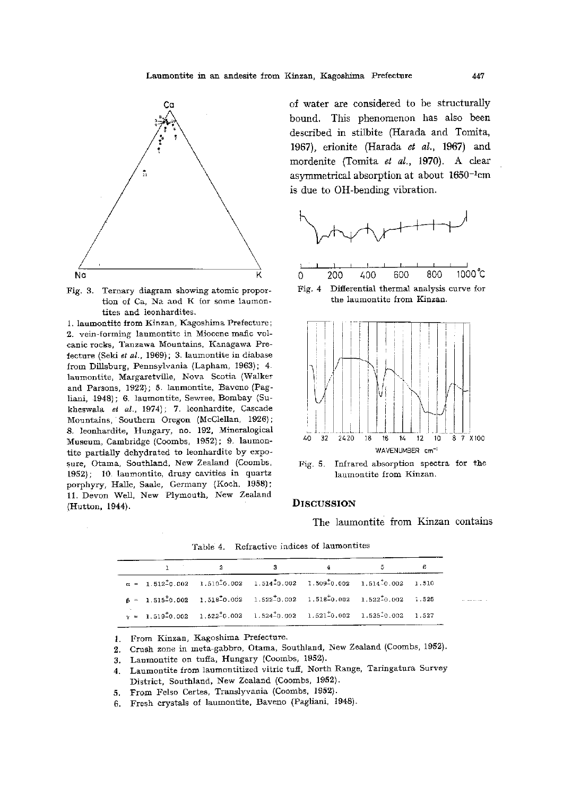



1. laumontite from Kinzan, Kagoshima Prefecture; 2. vein-forming laumontite in Miocene mafic vol canic rocks, Tanzawa Mountains, Kanagawa Pre fecture (Seki et al., 1969); 3. laumontite in diabase from Dillsburg, Pennsylvania (Lapham, 1963); 4. laumontite, Margaretville, Nova Scotia (Walker and Parsons, 1922); 5. laumontite, Baveno (Pag liani, 1948); 6. laumontite, Sewree, Bombay (Su kheswala et al., 1974); 7. leonhardite, Cascade Mountains, Southern Oregon (McClellan, 1926); 8. leonhardite, Hungary, no. 192, Mineralogical Museum, Cambridge (Coombs, 1952); 9. laumon tite partially dehydrated to leonhardite by expo sure, Otama, Southland, New Zealand (Coombs, 1952); 10. laumontite, drusy cavities in quartz porphyry, Halle, Saale, Germany (Koch, 1958); 11. Devon Well, New Plymouth, New Zealand (Hutton, 1944).

of water are considered to be structurally bound. This phenomenon has also been described in stilbite (Harada and Tomita, 1967), erionite (Harada et al., 1967) and mordenite (Tomita et al., 1970). A clear asymmetrical absorption at about 1650-1cm is due to OH-bending vibration.



Fig. 4 Differential thermal analysis curve for the laumontite from Kinzan.



Fig. 5. Infrared absorption spectra for the laumontite from Kinzan.

### **DISCUSSION**

The laumontite from Kinzan contains

|  |                                                                                                                                                              | 4 |  |
|--|--------------------------------------------------------------------------------------------------------------------------------------------------------------|---|--|
|  | $\alpha = 1.512\frac{1}{2}0.002 \quad 1.510\frac{1}{2}0.002 \quad 1.514\frac{1}{2}0.002 \quad 1.509\frac{1}{2}0.002 \quad 1.514\frac{1}{2}0.002 \quad 1.510$ |   |  |
|  | $B = 1.515\frac{1}{2}0.002 \quad 1.518\frac{1}{2}0.002 \quad 1.522\frac{1}{2}0.002 \quad 1.518\frac{1}{2}0.002 \quad 1.522\frac{1}{2}0.002 \quad 1.525$      |   |  |
|  | $\gamma = 1.519 \pm 0.002$ $1.522 \pm 0.002$ $1.524 \pm 0.002$ $1.521 \pm 0.002$ $1.525 \pm 0.002$ $1.527$                                                   |   |  |

Table 4. Refractive indices of laumontites

1. From Kinzan, Kagoshima Prefecture.

2. Crush zone in meta-gabbro, Otama, Southland, New Zealand (Coombs, 1952).

3. Laumontite on tuffa, Hungary (Coombs, 1952).

- 4. Laumontite from laumontitized vitric tuff, North Range, Taringatura Survey District, Southland, New Zealand (Coombs, 1952).
- 5. From Felso Certes, Translyvania (Coombs, 1952).
- 6. Fresh crystals of laumontite, Baveno (Pagliani, 1948).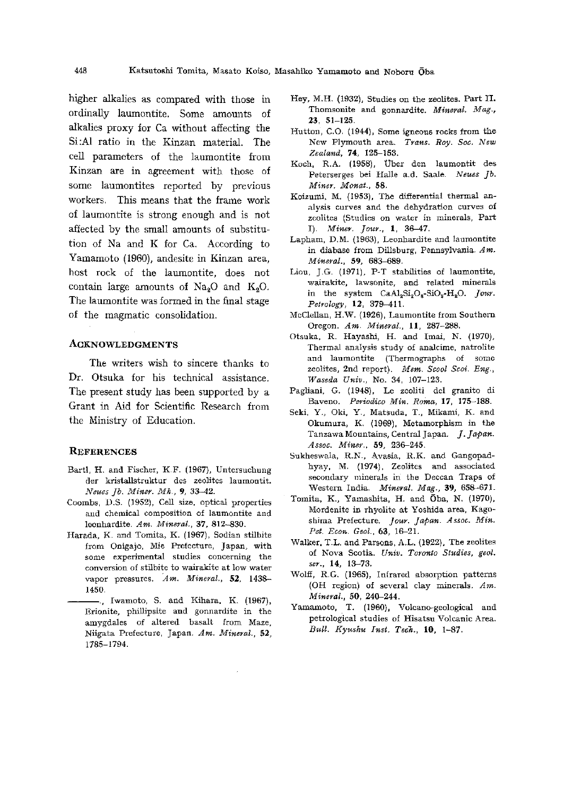higher alkalies as compared with those in ordinally laumontite. Some amounts of alkalies proxy for Ca without affecting the Si:Al ratio in the Kinzan material. The cell parameters of the laumontite from Kinzan are in agreement with those of some laumontites reported by previous workers. This means that the frame work of laumontite is strong enough and is not affected by the small amounts of substitu tion of Na and K for Ca. According to Yamamoto (1960), andesite in Kinzan area, host rock of the laumontite, does not contain large amounts of  $\text{Na}_2\text{O}$  and  $\text{K}_2\text{O}$ . The laumontite was formed in the final stage of the magmatic consolidation.

#### ACKNOWLEDGMENTS

The writers wish to sincere thanks to Dr. Otsuka for his technical assistance. The present study has been supported by a Grant in Aid for Scientific Research from the Ministry of Education.

#### **REFERENCES**

- Bartl, H. and Fischer, K. F. (1967), Untersuchung der kristallstruktur des zeolites laumontit. Neues Jb. Miner. Mh., 9, 33-42.
- Coombs, D.S. (1952), Cell size, optical properties and chemical composition of laumontite and leonhardite. Am. Mineral., 37, 812-830.
- Harada, K. and Tomita, K. (1967), Sodian stilbite from Onigajo, Mie Prefecture, Japan, with some experimental studies concerning the conversion of stilbite to wairakite at low water vapor pressures. Am. Mineral., 52, 1438- 1450.
	- $-$ ., Iwamoto, S. and Kihara, K. (1967), Erionite, phillipsite and gonnardite in the amygdales of altered basalt from Maze, Niigata Prefecture, Japan. Am. Mineral., 52, 1785-1794.
- Hey, M. H. (1932), Studies on the zeolites. Part II. Thomsonite and gonnardite. Mineral. Mag., 23, 51-125.
- Hutton, C.O. (1944), Some igneous rocks from the New Plymouth area. Trans. Roy. Soc. New Zealand, 74, 125-153.
- Koch, R.A. (1958), Über den laumontit des Peterserges bei Halle a.d. Saale. Neues Jb. Miner. Monat., 58.
- Koizumi, M. (1953), The differential thermal an alysis curves and the dehydration curves of zeolites (Studies on water in minerals, Part I). Miner. Jour., 1, 36-47.
- Lapham, D.M. (1963), Leonhardite and laumontite in diabase from Dillsburg, Pennsylvania. Am. Mineral., 59, 683-689.
- Liou, J.G. (1971), P-T stabilities of laumontite, wairakite, lawsonite, and related minerals in the system  $CaAl<sub>2</sub>Si<sub>2</sub>O<sub>8</sub>-SiO<sub>2</sub>-H<sub>2</sub>O$ . Jour. Petrology, 12, 379-411.
- McClellan, H. W. (1926), Laumontite from Southern Oregon. Am. Mineral., 11, 287-288.
- Otsuka, R. Hayashi, H. and Imai, N. (1970), Thermal analysis study of analcime, natrolite and laumontite (Thermographs of some zeolites, 2nd report). Mem. Scool Scoi. Eng., Waseda Univ., No. 34, 107-123.
- Pagliani, G. (1948), Le zeoliti del granito di Baveno. Periodico Min. Roma, 17, 175-188.
- Seki, Y., Oki, Y., Matsuda, T., Mikami, K. and Okumura, K. (1969), Metamorphism in the Tanzawa Mountains, Central Japan. J. Japan. Assoc. Miner., 59, 236-245.
- Sukheswala, R.N., Avasia, R.K. and Gangopadhyay, M. (1974), Zeolites and associated secondary minerals in the Deccan Traps of Western India. Mineral. Mag., 39, 658-671.
- Tomita, K., Yamashita, H. and Oba, N. (1970), Mordenite in rhyolite at Yoshida area, Kago shima Prefecture. Jour. Japan. Assoc. Min. Pet. Econ. Geol., 63, 16-21.
- Walker, T.L. and Parsons, A.L. (1922), The zeolites of Nova Scotia. Univ. Toronto Studies, geol. ser., 14, 13-73.
- Wolff, R.G. (1965), Infrared absorption patterns (OH region) of several clay minerals. Am. Mineral., 50, 240-244.
- Yamamoto, T. (1960), Volcano-geological and petrological studies of Hisatsu Volcanic Area. Bull. Kyushu Inst. Tech., 10, 1-87.